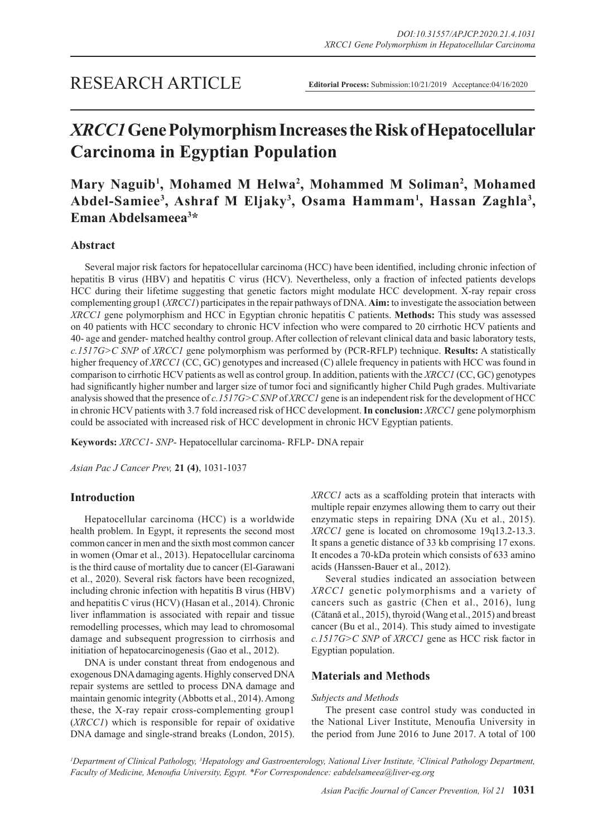# *XRCC1* **Gene Polymorphism Increases the Risk of Hepatocellular Carcinoma in Egyptian Population**

# Mary Naguib<sup>1</sup>, Mohamed M Helwa<sup>2</sup>, Mohammed M Soliman<sup>2</sup>, Mohamed Abdel-Samiee<sup>3</sup>, Ashraf M Eljaky<sup>3</sup>, Osama Hammam<sup>1</sup>, Hassan Zaghla<sup>3</sup>, **Eman Abdelsameea3 \***

# **Abstract**

Several major risk factors for hepatocellular carcinoma (HCC) have been identified, including chronic infection of hepatitis B virus (HBV) and hepatitis C virus (HCV). Nevertheless, only a fraction of infected patients develops HCC during their lifetime suggesting that genetic factors might modulate HCC development. X-ray repair cross complementing group1 (*XRCC1*) participates in the repair pathways of DNA. **Aim:** to investigate the association between *XRCC1* gene polymorphism and HCC in Egyptian chronic hepatitis C patients. **Methods:** This study was assessed on 40 patients with HCC secondary to chronic HCV infection who were compared to 20 cirrhotic HCV patients and 40- age and gender- matched healthy control group. After collection of relevant clinical data and basic laboratory tests, *c.1517G>C SNP* of *XRCC1* gene polymorphism was performed by (PCR-RFLP) technique. **Results:** A statistically higher frequency of *XRCC1* (CC, GC) genotypes and increased (C) allele frequency in patients with HCC was found in comparison to cirrhotic HCV patients as well as control group. In addition, patients with the *XRCC1* (CC, GC) genotypes had significantly higher number and larger size of tumor foci and significantly higher Child Pugh grades. Multivariate analysis showed that the presence of *c.1517G>C SNP* of *XRCC1* gene is an independent risk for the development of HCC in chronic HCV patients with 3.7 fold increased risk of HCC development. **In conclusion:** *XRCC1* gene polymorphism could be associated with increased risk of HCC development in chronic HCV Egyptian patients.

**Keywords:** *XRCC1*- *SNP*- Hepatocellular carcinoma- RFLP- DNA repair

*Asian Pac J Cancer Prev,* **21 (4)**, 1031-1037

# **Introduction**

Hepatocellular carcinoma (HCC) is a worldwide health problem. In Egypt, it represents the second most common cancer in men and the sixth most common cancer in women (Omar et al., 2013). Hepatocellular carcinoma is the third cause of mortality due to cancer (El-Garawani et al., 2020). Several risk factors have been recognized, including chronic infection with hepatitis B virus (HBV) and hepatitis C virus (HCV) (Hasan et al., 2014). Chronic liver inflammation is associated with repair and tissue remodelling processes, which may lead to chromosomal damage and subsequent progression to cirrhosis and initiation of hepatocarcinogenesis (Gao et al., 2012).

DNA is under constant threat from endogenous and exogenous DNA damaging agents. Highly conserved DNA repair systems are settled to process DNA damage and maintain genomic integrity (Abbotts et al., 2014). Among these, the X-ray repair cross-complementing group1 (*XRCC1*) which is responsible for repair of oxidative DNA damage and single-strand breaks (London, 2015). *XRCC1* acts as a scaffolding protein that interacts with multiple repair enzymes allowing them to carry out their enzymatic steps in repairing DNA (Xu et al., 2015). *XRCC1* gene is located on chromosome 19q13.2-13.3. It spans a genetic distance of 33 kb comprising 17 exons. It encodes a 70-kDa protein which consists of 633 amino acids (Hanssen-Bauer et al., 2012).

Several studies indicated an association between *XRCC1* genetic polymorphisms and a variety of cancers such as gastric (Chen et al., 2016), lung (Cătană et al., 2015), thyroid (Wang et al., 2015) and breast cancer (Bu et al., 2014). This study aimed to investigate *c.1517G>C SNP* of *XRCC1* gene as HCC risk factor in Egyptian population.

# **Materials and Methods**

#### *Subjects and Methods*

The present case control study was conducted in the National Liver Institute, Menoufia University in the period from June 2016 to June 2017. A total of 100

<sup>*I*</sup> Department of Clinical Pathology, <sup>3</sup> Hepatology and Gastroenterology, National Liver Institute, <sup>2</sup> Clinical Pathology Department, *Faculty of Medicine, Menoufia University, Egypt. \*For Correspondence: eabdelsameea@liver-eg.org*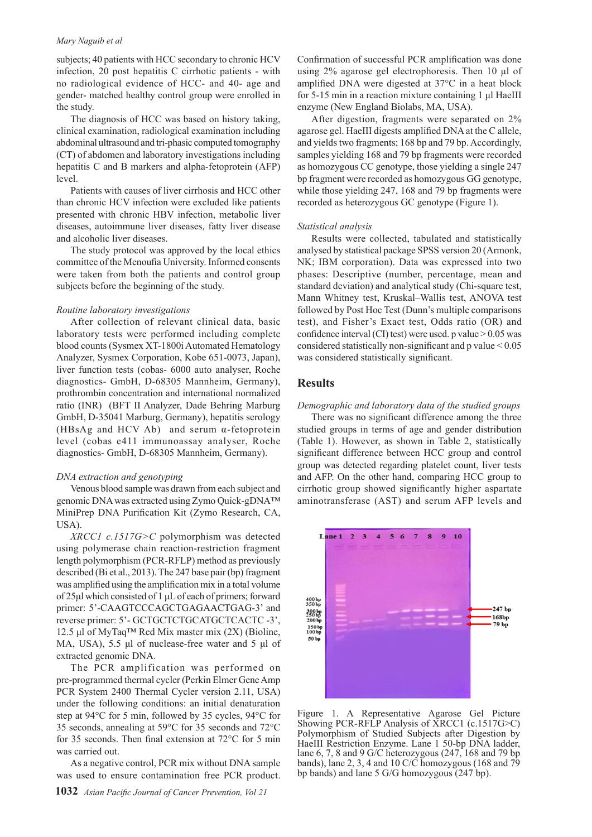#### *Mary Naguib et al*

subjects; 40 patients with HCC secondary to chronic HCV infection, 20 post hepatitis C cirrhotic patients - with no radiological evidence of HCC- and 40- age and gender- matched healthy control group were enrolled in the study.

The diagnosis of HCC was based on history taking, clinical examination, radiological examination including abdominal ultrasound and tri-phasic computed tomography (CT) of abdomen and laboratory investigations including hepatitis C and B markers and alpha-fetoprotein (AFP) level.

Patients with causes of liver cirrhosis and HCC other than chronic HCV infection were excluded like patients presented with chronic HBV infection, metabolic liver diseases, autoimmune liver diseases, fatty liver disease and alcoholic liver diseases.

The study protocol was approved by the local ethics committee of the Menoufia University. Informed consents were taken from both the patients and control group subjects before the beginning of the study.

#### *Routine laboratory investigations*

After collection of relevant clinical data, basic laboratory tests were performed including complete blood counts (Sysmex XT-1800i Automated Hematology Analyzer, Sysmex Corporation, Kobe 651-0073, Japan), liver function tests (cobas- 6000 auto analyser, Roche diagnostics- GmbH, D-68305 Mannheim, Germany), prothrombin concentration and international normalized ratio (INR) (BFT II Analyzer, Dade Behring Marburg GmbH, D-35041 Marburg, Germany), hepatitis serology (HBsAg and HCV Ab) and serum α-fetoprotein level (cobas e411 immunoassay analyser, Roche diagnostics- GmbH, D-68305 Mannheim, Germany).

#### *DNA extraction and genotyping*

Venous blood sample was drawn from each subject and genomic DNA was extracted using Zymo Quick-gDNA™ MiniPrep DNA Purification Kit (Zymo Research, CA, USA).

*XRCC1 c.1517G>C* polymorphism was detected using polymerase chain reaction-restriction fragment length polymorphism (PCR-RFLP) method as previously described (Bi et al., 2013). The 247 base pair (bp) fragment was amplified using the amplification mix in a total volume of 25μl which consisted of 1 μL of each of primers; forward primer: 5'-CAAGTCCCAGCTGAGAACTGAG-3' and reverse primer: 5'- GCTGCTCTGCATGCTCACTC -3', 12.5 μl of MyTaq<sup>TM</sup> Red Mix master mix  $(2X)$  (Bioline, MA, USA), 5.5 μl of nuclease-free water and 5 μl of extracted genomic DNA.

The PCR amplification was performed on pre-programmed thermal cycler (Perkin Elmer Gene Amp PCR System 2400 Thermal Cycler version 2.11, USA) under the following conditions: an initial denaturation step at 94°C for 5 min, followed by 35 cycles, 94°C for 35 seconds, annealing at 59°C for 35 seconds and 72°C for 35 seconds. Then final extension at 72°C for 5 min was carried out.

As a negative control, PCR mix without DNA sample was used to ensure contamination free PCR product. Confirmation of successful PCR amplification was done using 2% agarose gel electrophoresis. Then 10 μl of amplified DNA were digested at 37°C in a heat block for 5-15 min in a reaction mixture containing 1 μl HaeIII enzyme (New England Biolabs, MA, USA).

After digestion, fragments were separated on 2% agarose gel. HaeIII digests amplified DNA at the C allele, and yields two fragments; 168 bp and 79 bp. Accordingly, samples yielding 168 and 79 bp fragments were recorded as homozygous CC genotype, those yielding a single 247 bp fragment were recorded as homozygous GG genotype, while those yielding 247, 168 and 79 bp fragments were recorded as heterozygous GC genotype (Figure 1).

#### *Statistical analysis*

Results were collected, tabulated and statistically analysed by statistical package SPSS version 20 (Armonk, NK; IBM corporation). Data was expressed into two phases: Descriptive (number, percentage, mean and standard deviation) and analytical study (Chi-square test, Mann Whitney test, Kruskal–Wallis test, ANOVA test followed by Post Hoc Test (Dunn's multiple comparisons test), and Fisher's Exact test, Odds ratio (OR) and confidence interval  $(CI)$  test) were used. p value  $> 0.05$  was considered statistically non-significant and p value < 0.05 was considered statistically significant.

#### **Results**

*Demographic and laboratory data of the studied groups*

There was no significant difference among the three studied groups in terms of age and gender distribution (Table 1). However, as shown in Table 2, statistically significant difference between HCC group and control group was detected regarding platelet count, liver tests and AFP. On the other hand, comparing HCC group to cirrhotic group showed significantly higher aspartate aminotransferase (AST) and serum AFP levels and



Figure 1. A Representative Agarose Gel Picture Showing PCR-RFLP Analysis of XRCC1 (c.1517G>C) Polymorphism of Studied Subjects after Digestion by HaeIII Restriction Enzyme. Lane 1 50-bp DNA ladder, lane 6, 7, 8 and 9 G/C heterozygous (247, 168 and 79 bp bands), lane 2, 3, 4 and 10 C/C homozygous (168 and 79 bp bands) and lane 5 G/G homozygous (247 bp).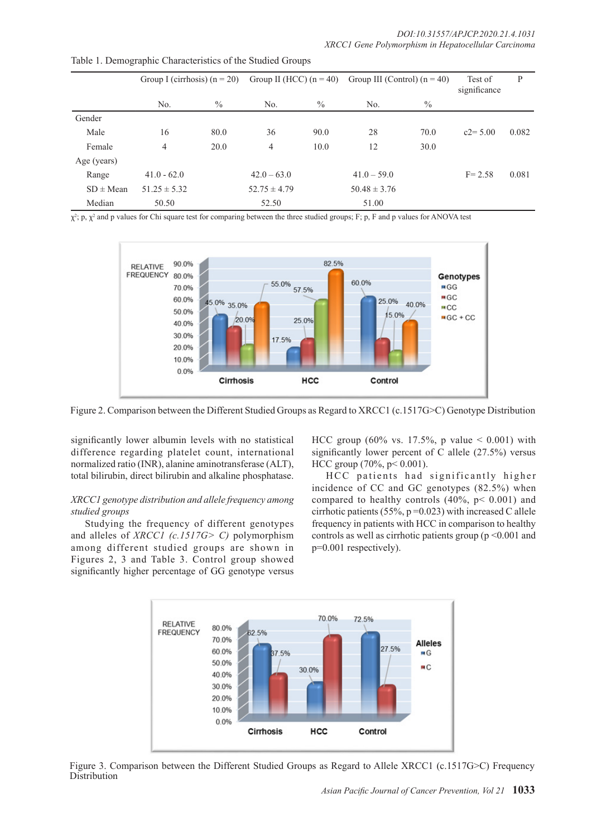|               | Group I (cirrhosis) $(n = 20)$ |      |                  |      | Group II (HCC) $(n = 40)$ Group III (Control) $(n = 40)$ |               | Test of<br>significance | P     |
|---------------|--------------------------------|------|------------------|------|----------------------------------------------------------|---------------|-------------------------|-------|
|               | No.                            | $\%$ | No.              | $\%$ | N <sub>0</sub>                                           | $\frac{0}{0}$ |                         |       |
| Gender        |                                |      |                  |      |                                                          |               |                         |       |
| Male          | 16                             | 80.0 | 36               | 90.0 | 28                                                       | 70.0          | $c2 = 5.00$             | 0.082 |
| Female        | 4                              | 20.0 | 4                | 10.0 | 12                                                       | 30.0          |                         |       |
| Age (years)   |                                |      |                  |      |                                                          |               |                         |       |
| Range         | $41.0 - 62.0$                  |      | $42.0 - 63.0$    |      | $41.0 - 59.0$                                            |               | $F = 2.58$              | 0.081 |
| $SD \pm Mean$ | $51.25 \pm 5.32$               |      | $52.75 \pm 4.79$ |      | $50.48 \pm 3.76$                                         |               |                         |       |
| Median        | 50.50                          |      | 52.50            |      | 51.00                                                    |               |                         |       |

Table 1. Demographic Characteristics of the Studied Groups

 $\chi^2$ ; p,  $\chi^2$  and p values for Chi square test for comparing between the three studied groups; F; p, F and p values for ANOVA test



Figure 2. Comparison between the Different Studied Groups as Regard to XRCC1 (c.1517G>C) Genotype Distribution

significantly lower albumin levels with no statistical difference regarding platelet count, international normalized ratio (INR), alanine aminotransferase (ALT), total bilirubin, direct bilirubin and alkaline phosphatase.

#### *XRCC1 genotype distribution and allele frequency among studied groups*

Studying the frequency of different genotypes and alleles of *XRCC1 (c.1517G> C)* polymorphism among different studied groups are shown in Figures 2, 3 and Table 3. Control group showed significantly higher percentage of GG genotype versus

HCC group (60% vs. 17.5%, p value  $< 0.001$ ) with significantly lower percent of C allele (27.5%) versus HCC group (70%, p< 0.001).

HCC patients had significantly higher incidence of CC and GC genotypes (82.5%) when compared to healthy controls  $(40\%, p < 0.001)$  and cirrhotic patients (55%,  $p = 0.023$ ) with increased C allele frequency in patients with HCC in comparison to healthy controls as well as cirrhotic patients group ( $p \le 0.001$  and p=0.001 respectively).



Figure 3. Comparison between the Different Studied Groups as Regard to Allele XRCC1 (c.1517G>C) Frequency Distribution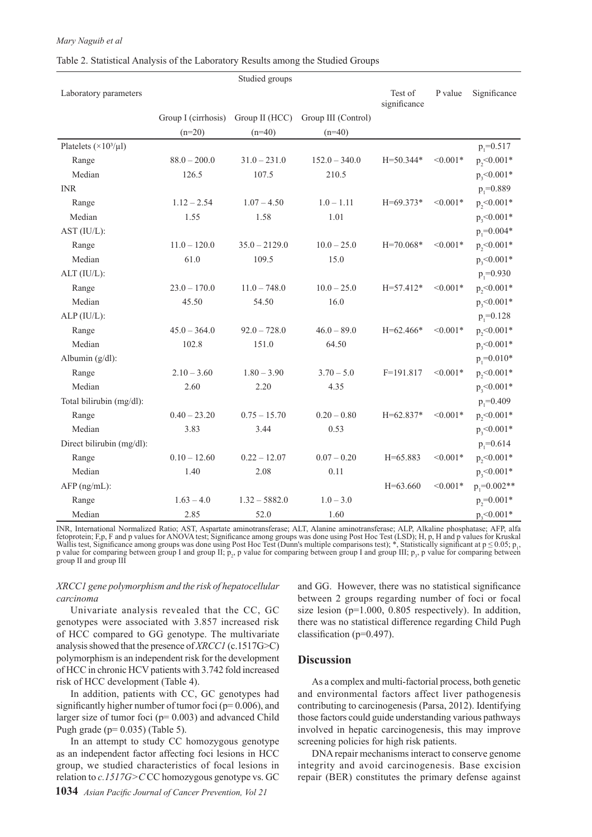#### *Mary Naguib et al*

#### Table 2. Statistical Analysis of the Laboratory Results among the Studied Groups

|                                 |                     | Studied groups  |                     |                         |            |                 |
|---------------------------------|---------------------|-----------------|---------------------|-------------------------|------------|-----------------|
| Laboratory parameters           |                     |                 |                     | Test of<br>significance | P value    | Significance    |
|                                 | Group I (cirrhosis) | Group II (HCC)  | Group III (Control) |                         |            |                 |
|                                 | $(n=20)$            | $(n=40)$        | $(n=40)$            |                         |            |                 |
| Platelets $(\times 10^3/\mu l)$ |                     |                 |                     |                         |            | $p_1 = 0.517$   |
| Range                           | $88.0 - 200.0$      | $31.0 - 231.0$  | $152.0 - 340.0$     | $H = 50.344*$           | $< 0.001*$ | $p_{2}<0.001*$  |
| Median                          | 126.5               | 107.5           | 210.5               |                         |            | $p_{3}$ <0.001* |
| <b>INR</b>                      |                     |                 |                     |                         |            | $p_{1} = 0.889$ |
| Range                           | $1.12 - 2.54$       | $1.07 - 4.50$   | $1.0 - 1.11$        | $H = 69.373*$           | $< 0.001*$ | $p, < 0.001*$   |
| Median                          | 1.55                | 1.58            | 1.01                |                         |            | $p_{3}$ <0.001* |
| AST (IU/L):                     |                     |                 |                     |                         |            | $p_1 = 0.004*$  |
| Range                           | $11.0 - 120.0$      | $35.0 - 2129.0$ | $10.0 - 25.0$       | $H = 70.068*$           | $< 0.001*$ | $p, < 0.001*$   |
| Median                          | 61.0                | 109.5           | 15.0                |                         |            | $p_{3}$ <0.001* |
| ALT (IU/L):                     |                     |                 |                     |                         |            | $p_1 = 0.930$   |
| Range                           | $23.0 - 170.0$      | $11.0 - 748.0$  | $10.0 - 25.0$       | $H = 57.412*$           | $< 0.001*$ | $p_{2}<0.001*$  |
| Median                          | 45.50               | 54.50           | 16.0                |                         |            | $p_{3}$ <0.001* |
| ALP (IU/L):                     |                     |                 |                     |                         |            | $p_1 = 0.128$   |
| Range                           | $45.0 - 364.0$      | $92.0 - 728.0$  | $46.0 - 89.0$       | $H=62.466*$             | $< 0.001*$ | $p, < 0.001*$   |
| Median                          | 102.8               | 151.0           | 64.50               |                         |            | $p_{3}$ <0.001* |
| Albumin (g/dl):                 |                     |                 |                     |                         |            | $p_1 = 0.010*$  |
| Range                           | $2.10 - 3.60$       | $1.80 - 3.90$   | $3.70 - 5.0$        | $F=191.817$             | $< 0.001*$ | $p_{2}<0.001*$  |
| Median                          | 2.60                | 2.20            | 4.35                |                         |            | $p_{3}$ <0.001* |
| Total bilirubin (mg/dl):        |                     |                 |                     |                         |            | $p_1 = 0.409$   |
| Range                           | $0.40 - 23.20$      | $0.75 - 15.70$  | $0.20 - 0.80$       | $H = 62.837*$           | $< 0.001*$ | $p_2$ <0.001*   |
| Median                          | 3.83                | 3.44            | 0.53                |                         |            | $p_{3}$ <0.001* |
| Direct bilirubin (mg/dl):       |                     |                 |                     |                         |            | $p_1 = 0.614$   |
| Range                           | $0.10 - 12.60$      | $0.22 - 12.07$  | $0.07 - 0.20$       | $H = 65.883$            | $< 0.001*$ | $p_2$ <0.001*   |
| Median                          | 1.40                | 2.08            | 0.11                |                         |            | $p_{3}$ <0.001* |
| AFP (ng/mL):                    |                     |                 |                     | $H=63.660$              | $< 0.001*$ | $p_1 = 0.002**$ |
| Range                           | $1.63 - 4.0$        | $1.32 - 5882.0$ | $1.0 - 3.0$         |                         |            | $p_{2}=0.001*$  |
| Median                          | 2.85                | 52.0            | 1.60                |                         |            | $p_3$ <0.001*   |

INR, International Normalized Ratio; AST, Aspartate aminotransferase; ALT, Alanine aminotransferase; ALP, Alkaline phosphatase; AFP, alfa fetoprotein; F,p, F and p values for ANOVA test; Significance among groups was done using Post Hoc Test (LSD); H, p, H and p values for Kruskal Wallis test, Significance among groups was done using Post Hoc Test (Dunn's multiple comparisons test); \*, Statistically significant at  $p \le 0.05$ ; p<sub>1</sub>, p value for comparing between group I and group II;  $p_2$ , p value for comparing between group I and group III;  $p_3$ , p value for comparing between group II and group III

#### *XRCC1 gene polymorphism and the risk of hepatocellular carcinoma*

Univariate analysis revealed that the CC, GC genotypes were associated with 3.857 increased risk of HCC compared to GG genotype. The multivariate analysis showed that the presence of *XRCC1* (c.1517G>C) polymorphism is an independent risk for the development of HCC in chronic HCV patients with 3.742 fold increased risk of HCC development (Table 4).

In addition, patients with CC, GC genotypes had significantly higher number of tumor foci (p= 0.006), and larger size of tumor foci ( $p= 0.003$ ) and advanced Child Pugh grade ( $p= 0.035$ ) (Table 5).

In an attempt to study CC homozygous genotype as an independent factor affecting foci lesions in HCC group, we studied characteristics of focal lesions in relation to *c.1517G>C* CC homozygous genotype vs. GC

**1034** *Asian Pacific Journal of Cancer Prevention, Vol 21*

and GG. However, there was no statistical significance between 2 groups regarding number of foci or focal size lesion ( $p=1.000$ , 0.805 respectively). In addition, there was no statistical difference regarding Child Pugh classification (p=0.497).

# **Discussion**

As a complex and multi-factorial process, both genetic and environmental factors affect liver pathogenesis contributing to carcinogenesis (Parsa, 2012). Identifying those factors could guide understanding various pathways involved in hepatic carcinogenesis, this may improve screening policies for high risk patients.

DNA repair mechanisms interact to conserve genome integrity and avoid carcinogenesis. Base excision repair (BER) constitutes the primary defense against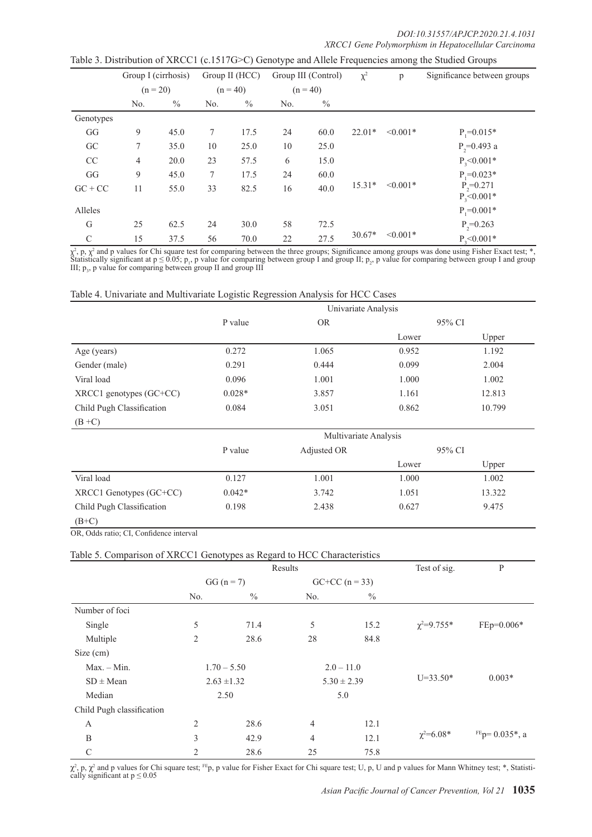|                        | Group I (cirrhosis) |      | Group II (HCC) |               | Group III (Control) |               | $\chi^2$ | p             | Significance between groups      |
|------------------------|---------------------|------|----------------|---------------|---------------------|---------------|----------|---------------|----------------------------------|
|                        | $(n = 20)$          |      | $(n = 40)$     |               | $(n = 40)$          |               |          |               |                                  |
|                        | No.                 | $\%$ | No.            | $\frac{0}{0}$ | No.                 | $\frac{0}{0}$ |          |               |                                  |
| Genotypes              |                     |      |                |               |                     |               |          |               |                                  |
| $\mathbf{G}\mathbf{G}$ | 9                   | 45.0 | 7              | 17.5          | 24                  | 60.0          | $22.01*$ | $\leq 0.001*$ | $P_1 = 0.015*$                   |
| GC                     | 7                   | 35.0 | 10             | 25.0          | 10                  | 25.0          |          |               | $P_{2}=0.493$ a                  |
| CC                     | $\overline{4}$      | 20.0 | 23             | 57.5          | 6                   | 15.0          |          |               | $P_{3}$ <0.001*                  |
| GG                     | 9                   | 45.0 | 7              | 17.5          | 24                  | 60.0          |          |               | $P = 0.023*$                     |
| $GC + CC$              | 11                  | 55.0 | 33             | 82.5          | 16                  | 40.0          | $15.31*$ | $< 0.001*$    | $P_{2}=0.271$<br>$P_{3}$ <0.001* |
| Alleles                |                     |      |                |               |                     |               |          |               | $P_1 = 0.001*$                   |
| G                      | 25                  | 62.5 | 24             | 30.0          | 58                  | 72.5          |          |               | $P_{2}=0.263$                    |
| $\mathcal{C}$          | 15                  | 37.5 | 56             | 70.0          | 22                  | 27.5          | $30.67*$ | $< 0.001*$    | $P, < 0.001*$                    |

Table 3. Distribution of XRCC1 (c.1517G>C) Genotype and Allele Frequencies among the Studied Groups

 $\chi^2$ , p,  $\chi^2$  and p values for Chi square test for comparing between the three groups; Significance among groups was done using Fisher Exact test; \*, Statistically significant at  $p \le 0.05$ ;  $p_1$ , p value for comparing between group I and group II;  $p_2$ , p value for comparing between group I and group III;  $p_3$ , p value for comparing between group II and group III

| Table 4. Univariate and Multivariate Logistic Regression Analysis for HCC Cases |  |  |
|---------------------------------------------------------------------------------|--|--|
|---------------------------------------------------------------------------------|--|--|

|                             | Univariate Analysis |           |        |        |  |  |
|-----------------------------|---------------------|-----------|--------|--------|--|--|
|                             | P value             | <b>OR</b> | 95% CI |        |  |  |
|                             |                     |           | Lower  | Upper  |  |  |
| Age (years)                 | 0.272               | 1.065     | 0.952  | 1.192  |  |  |
| Gender (male)               | 0.291               | 0.444     | 0.099  | 2.004  |  |  |
| Viral load                  | 0.096               | 1.001     | 1.000  | 1.002  |  |  |
| $XRCC1$ genotypes $(GC+CC)$ | $0.028*$            | 3.857     | 1.161  | 12.813 |  |  |
| Child Pugh Classification   | 0.084               | 3.051     | 0.862  | 10.799 |  |  |
| $(B+C)$                     |                     |           |        |        |  |  |

|                           | Multivariate Analysis |             |        |        |  |
|---------------------------|-----------------------|-------------|--------|--------|--|
|                           | P value               | Adjusted OR | 95% CI |        |  |
|                           |                       |             | Lower  | Upper  |  |
| Viral load                | 0.127                 | 1.001       | 1.000  | 1.002  |  |
| XRCC1 Genotypes (GC+CC)   | $0.042*$              | 3.742       | 1.051  | 13.322 |  |
| Child Pugh Classification | 0.198                 | 2.438       | 0.627  | 9.475  |  |
| $(B+C)$                   |                       |             |        |        |  |

OR, Odds ratio; CI, Confidence interval

#### Table 5. Comparison of XRCC1 Genotypes as Regard to HCC Characteristics

|                           |                 | Results       | Test of sig.     | $\mathbf{P}$  |                   |                                |
|---------------------------|-----------------|---------------|------------------|---------------|-------------------|--------------------------------|
|                           | $GG (n = 7)$    |               | $GC+CC (n = 33)$ |               |                   |                                |
|                           | No.             | $\frac{0}{0}$ | No.              | $\frac{0}{0}$ |                   |                                |
| Number of foci            |                 |               |                  |               |                   |                                |
| Single                    | 5               | 71.4          | 5                | 15.2          | $\chi^2 = 9.755*$ | $FEp=0.006*$                   |
| Multiple                  | 2               | 28.6          | 28               | 84.8          |                   |                                |
| Size (cm)                 |                 |               |                  |               |                   |                                |
| $Max. - Min.$             |                 | $1.70 - 5.50$ | $2.0 - 11.0$     |               |                   |                                |
| $SD \pm Mean$             | $2.63 \pm 1.32$ |               | $5.30 \pm 2.39$  |               | $U=33.50*$        | $0.003*$                       |
| Median                    |                 | 2.50          | 5.0              |               |                   |                                |
| Child Pugh classification |                 |               |                  |               |                   |                                |
| A                         | $\overline{2}$  | 28.6          | $\overline{4}$   | 12.1          |                   |                                |
| B                         | 3               | 42.9          | 4                | 12.1          | $\chi^2 = 6.08*$  | $FEp = 0.035$ <sup>*</sup> , a |
| $\mathcal{C}$             | $\overline{2}$  | 28.6          | 25               | 75.8          |                   |                                |

 $\chi^2$ , p,  $\chi^2$  and p values for Chi square test; <sup>FE</sup>p, p value for Fisher Exact for Chi square test; U, p, U and p values for Mann Whitney test; \*, Statistically significant at  $p \le 0.05$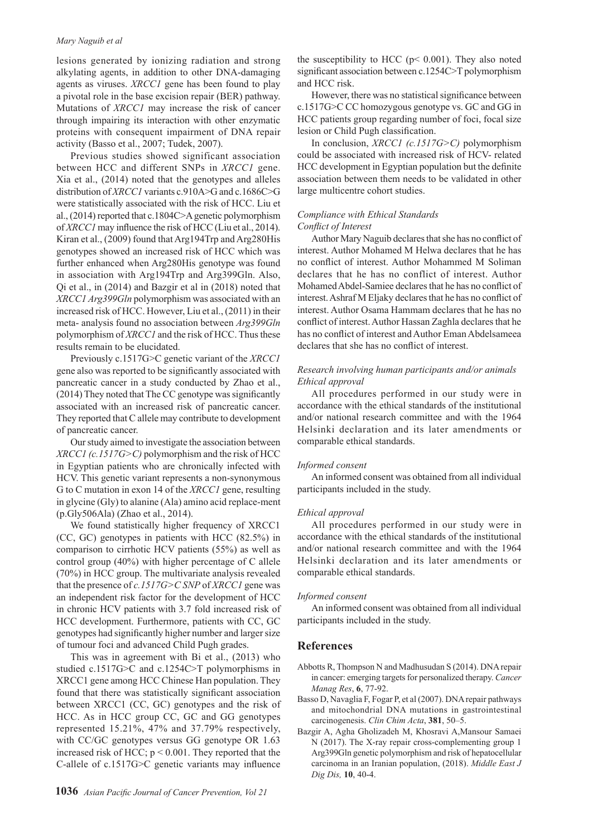#### *Mary Naguib et al*

lesions generated by ionizing radiation and strong alkylating agents, in addition to other DNA-damaging agents as viruses. *XRCC1* gene has been found to play a pivotal role in the base excision repair (BER) pathway. Mutations of *XRCC1* may increase the risk of cancer through impairing its interaction with other enzymatic proteins with consequent impairment of DNA repair activity (Basso et al., 2007; Tudek, 2007).

Previous studies showed significant association between HCC and different SNPs in *XRCC1* gene. Xia et al., (2014) noted that the genotypes and alleles distribution of *XRCC1* variants c.910A>G and c.1686C>G were statistically associated with the risk of HCC. Liu et al., (2014) reported that c.1804C>A genetic polymorphism of *XRCC1* may influence the risk of HCC (Liu et al., 2014). Kiran et al., (2009) found that Arg194Trp and Arg280His genotypes showed an increased risk of HCC which was further enhanced when Arg280His genotype was found in association with Arg194Trp and Arg399Gln. Also, Qi et al., in (2014) and Bazgir et al in (2018) noted that *XRCC1 Arg399Gln* polymorphism was associated with an increased risk of HCC. However, Liu et al., (2011) in their meta- analysis found no association between *Arg399Gln*  polymorphism of *XRCC1* and the risk of HCC. Thus these results remain to be elucidated.

Previously c.1517G>C genetic variant of the *XRCC1* gene also was reported to be significantly associated with pancreatic cancer in a study conducted by Zhao et al., (2014) They noted that The CC genotype was significantly associated with an increased risk of pancreatic cancer. They reported that C allele may contribute to development of pancreatic cancer.

Our study aimed to investigate the association between *XRCC1 (c.1517G>C)* polymorphism and the risk of HCC in Egyptian patients who are chronically infected with HCV. This genetic variant represents a non-synonymous G to C mutation in exon 14 of the *XRCC1* gene, resulting in glycine (Gly) to alanine (Ala) amino acid replace-ment (p.Gly506Ala) (Zhao et al., 2014).

We found statistically higher frequency of XRCC1 (CC, GC) genotypes in patients with HCC (82.5%) in comparison to cirrhotic HCV patients (55%) as well as control group (40%) with higher percentage of C allele (70%) in HCC group. The multivariate analysis revealed that the presence of *c.1517G>C SNP* of *XRCC1* gene was an independent risk factor for the development of HCC in chronic HCV patients with 3.7 fold increased risk of HCC development. Furthermore, patients with CC, GC genotypes had significantly higher number and larger size of tumour foci and advanced Child Pugh grades.

This was in agreement with Bi et al., (2013) who studied c.1517G>C and c.1254C>T polymorphisms in XRCC1 gene among HCC Chinese Han population. They found that there was statistically significant association between XRCC1 (CC, GC) genotypes and the risk of HCC. As in HCC group CC, GC and GG genotypes represented 15.21%, 47% and 37.79% respectively, with CC/GC genotypes versus GG genotype OR 1.63 increased risk of HCC;  $p < 0.001$ . They reported that the C-allele of c.1517G>C genetic variants may influence

the susceptibility to HCC ( $p$ < 0.001). They also noted significant association between c.1254C>T polymorphism and HCC risk.

However, there was no statistical significance between c.1517G>C CC homozygous genotype vs. GC and GG in HCC patients group regarding number of foci, focal size lesion or Child Pugh classification.

In conclusion, *XRCC1 (c.1517G>C)* polymorphism could be associated with increased risk of HCV- related HCC development in Egyptian population but the definite association between them needs to be validated in other large multicentre cohort studies.

#### *Compliance with Ethical Standards Conflict of Interest*

Author Mary Naguib declares that she has no conflict of interest. Author Mohamed M Helwa declares that he has no conflict of interest. Author Mohammed M Soliman declares that he has no conflict of interest. Author Mohamed Abdel-Samiee declares that he has no conflict of interest. Ashraf M Eljaky declares that he has no conflict of interest. Author Osama Hammam declares that he has no conflict of interest. Author Hassan Zaghla declares that he has no conflict of interest and Author Eman Abdelsameea declares that she has no conflict of interest.

### *Research involving human participants and/or animals Ethical approval*

All procedures performed in our study were in accordance with the ethical standards of the institutional and/or national research committee and with the 1964 Helsinki declaration and its later amendments or comparable ethical standards.

#### *Informed consent*

An informed consent was obtained from all individual participants included in the study.

#### *Ethical approval*

All procedures performed in our study were in accordance with the ethical standards of the institutional and/or national research committee and with the 1964 Helsinki declaration and its later amendments or comparable ethical standards.

#### *Informed consent*

An informed consent was obtained from all individual participants included in the study.

#### **References**

- Abbotts R, Thompson N and Madhusudan S (2014). DNA repair in cancer: emerging targets for personalized therapy. *Cancer Manag Res*, **6**, 77-92.
- Basso D, Navaglia F, Fogar P, et al (2007). DNA repair pathways and mitochondrial DNA mutations in gastrointestinal carcinogenesis. *Clin Chim Acta*, **381**, 50–5.
- Bazgir A, Agha Gholizadeh M, Khosravi A,Mansour Samaei N (2017). The X-ray repair cross-complementing group 1 Arg399Gln genetic polymorphism and risk of hepatocellular carcinoma in an Iranian population, (2018). *Middle East J Dig Dis,* **10**, 40-4.